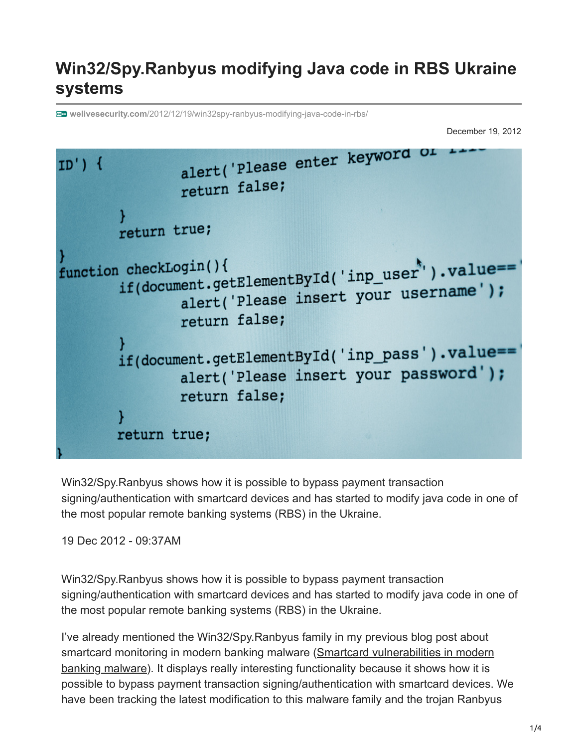## **Win32/Spy.Ranbyus modifying Java code in RBS Ukraine systems**

**welivesecurity.com**[/2012/12/19/win32spy-ranbyus-modifying-java-code-in-rbs/](https://www.welivesecurity.com/2012/12/19/win32spy-ranbyus-modifying-java-code-in-rbs/)

December 19, 2012



Win32/Spy.Ranbyus shows how it is possible to bypass payment transaction signing/authentication with smartcard devices and has started to modify java code in one of the most popular remote banking systems (RBS) in the Ukraine.

19 Dec 2012 - 09:37AM

Win32/Spy.Ranbyus shows how it is possible to bypass payment transaction signing/authentication with smartcard devices and has started to modify java code in one of the most popular remote banking systems (RBS) in the Ukraine.

I've already mentioned the Win32/Spy.Ranbyus family in my previous blog post about [smartcard monitoring in modern banking malware \(Smartcard vulnerabilities in modern](https://www.welivesecurity.com/2012/06/05/smartcard-vulnerabilities-in-modern-banking-malware) banking malware). It displays really interesting functionality because it shows how it is possible to bypass payment transaction signing/authentication with smartcard devices. We have been tracking the latest modification to this malware family and the trojan Ranbyus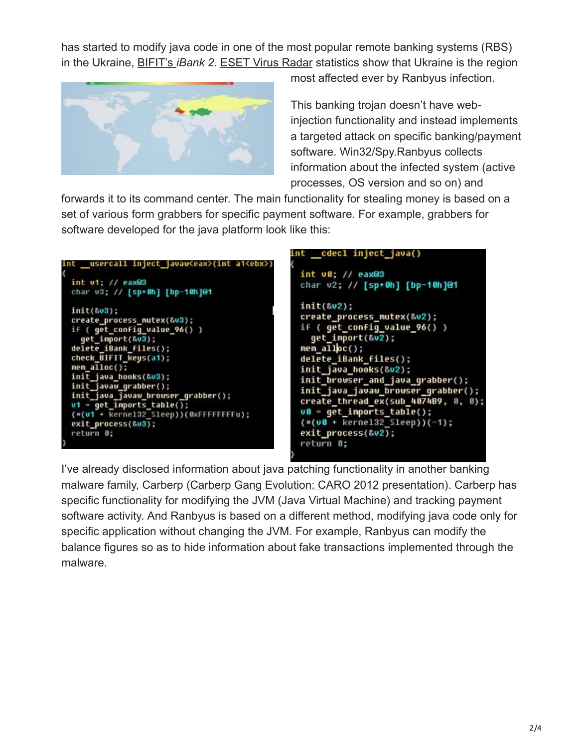has started to modify java code in one of the most popular remote banking systems (RBS) in the Ukraine, BIFIT's *iBank 2*. [ESET Virus Radar](http://www.virusradar.com/en/Win32_Spy.Ranbyus/detail) statistics show that Ukraine is the region



most affected ever by Ranbyus infection.

This banking trojan doesn't have webinjection functionality and instead implements a targeted attack on specific banking/payment software. Win32/Spy.Ranbyus collects information about the infected system (active processes, OS version and so on) and

forwards it to its command center. The main functionality for stealing money is based on a set of various form grabbers for specific payment software. For example, grabbers for software developed for the java platform look like this:





I've already disclosed information about java patching functionality in another banking malware family, Carberp ([Carberp Gang Evolution: CARO 2012 presentation\)](https://www.welivesecurity.com/2012/05/24/carberp-gang-evolution-at-caro-2012). Carberp has specific functionality for modifying the JVM (Java Virtual Machine) and tracking payment software activity. And Ranbyus is based on a different method, modifying java code only for specific application without changing the JVM. For example, Ranbyus can modify the balance figures so as to hide information about fake transactions implemented through the malware.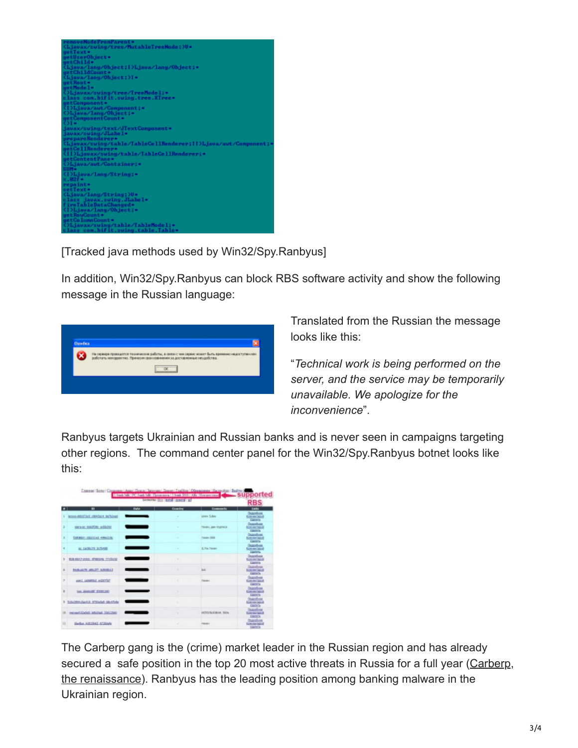

[Tracked java methods used by Win32/Spy.Ranbyus]

In addition, Win32/Spy.Ranbyus can block RBS software activity and show the following message in the Russian language:

| <b>Omefan</b> | На скрвере проводятся технические работы, в связи с чем скрвис искет быть временно недоступни или<br>работать находрахтко. Принзони свои извикания за доставленные наудобства. |
|---------------|--------------------------------------------------------------------------------------------------------------------------------------------------------------------------------|
|               |                                                                                                                                                                                |
|               |                                                                                                                                                                                |

Translated from the Russian the message looks like this:

"*Technical work is being performed on the server, and the service may be temporarily unavailable. We apologize for the inconvenience*".

Ranbyus targets Ukrainian and Russian banks and is never seen in campaigns targeting other regions. The command center panel for the Win32/Spy.Ranbyus botnet looks like this:

|                          | Engines   Sena   Caspones   Acus   Douce   Senaga   Douce   Foutilist   Officersation   Bergolista   Badiral | <b>INSTEAD TRANSPORT TO A CONTINUES IN A SSAULT OR DESIGNATION</b> |         |                                 | - supported                                                                     |
|--------------------------|--------------------------------------------------------------------------------------------------------------|--------------------------------------------------------------------|---------|---------------------------------|---------------------------------------------------------------------------------|
|                          |                                                                                                              | <b>RBS</b>                                                         |         |                                 |                                                                                 |
| $\overline{\phantom{0}}$ | ъ                                                                                                            | Dalla                                                              | Country | Commercial                      | <b>Limits</b>                                                                   |
|                          | Innovo-R0007345 (9045)c4 00703460                                                                            |                                                                    |         | interv 5.6m                     | <b><i><u>Danielluss</u></i></b><br><b>Roman Store</b><br><b>Country</b>         |
| з                        | eara-ac boam'ze: editorio                                                                                    |                                                                    |         | <b>Понен, две подписи</b>       | <b><i><u>Danoshuag</u></i></b><br><b>Aberman Tabrie</b><br><b>Transfer</b>      |
| э                        | CONSULT: US\$211x3 489x1180                                                                                  |                                                                    | $\sim$  | Travel 509                      | <b><i><u>Danophuse</u></i></b><br><b>Baltimer Taged</b><br><b>TRADES</b>        |
|                          | ap. 12(3)(23) 3(7)-638                                                                                       |                                                                    | ٠       | 3. Por. Frieder                 | <b>Denverbung</b><br><b>Silver and Talent</b><br><b>Country</b>                 |
|                          | BOB-BRAT-WIDDS MARKSHIE TYSTLESS                                                                             |                                                                    | ×       |                                 | <b>Government</b><br><b>King and Take of</b><br><b>Cantra</b>                   |
|                          | <b>HANAKTH MINOR SOURCES</b>                                                                                 |                                                                    | $\sim$  | bot.                            | <b>Danielleas</b><br><b>Kimmer Talent</b><br><b>County</b>                      |
| $\sigma$                 | HALL GAMERIZ ACCUTED                                                                                         |                                                                    | ٠       | <b>Figures</b>                  | <b>Gazonbar</b><br><b>Summer Using</b><br><b>Castle of Tax</b>                  |
|                          | lan distant SIMJ240                                                                                          |                                                                    | w       |                                 | <b>Bazonbias</b><br><b><i><u>Limited Made</u></i></b><br><b>CALL OF THE</b>     |
|                          | S1629McSerG2 5735cSd ABrCSde                                                                                 |                                                                    |         |                                 | <b>State</b> of way<br><b>Kim drilling</b><br><b>Call of Ta</b>                 |
|                          | microsof.02x5d0 M624x5 S34125d0                                                                              |                                                                    | ٠       | <b><i>PETGRATILIA, 5504</i></b> | <b><i><u>Razoni-se</u></i></b><br><b><i>SORONTAGES</i></b><br><b>California</b> |
| n                        | Sadus 4:512643 6726ride                                                                                      |                                                                    |         | <b>HELEL!</b>                   | <b>Billion</b><br><b>Som text tapes</b><br><b>GALLER</b>                        |

The Carberp gang is the (crime) market leader in the Russian region and has already [secured a safe position in the top 20 most active threats in Russia for a full year \(Carberp,](http://malware.dontneedcoffee.com/2012/12/carberprenaissance.html) the renaissance). Ranbyus has the leading position among banking malware in the Ukrainian region.